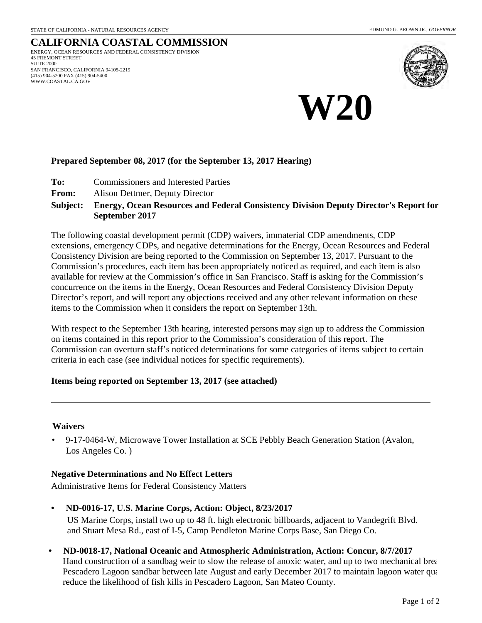#### **CALIFORNIA COASTAL COMMISSION** ENERGY, OCEAN RESOURCES AND FEDERAL CONSISTENCY DIVISION 45 FREMONT STREET SUITE 2000 SAN FRANCISCO, CALIFORNIA 94105-2219 (415) 904-5200 FAX (415) 904-5400 WWW.COASTAL.CA.GOV



# **W20**

#### **Prepared September 08, 2017 (for the September 13, 2017 Hearing)**

- **To:** Commissioners and Interested Parties
- **From:** Alison Dettmer, Deputy Director

#### **Energy, Ocean Resources and Federal Consistency Division Deputy Director's Report for September 2017 Subject:**

The following coastal development permit (CDP) waivers, immaterial CDP amendments, CDP extensions, emergency CDPs, and negative determinations for the Energy, Ocean Resources and Federal Consistency Division are being reported to the Commission on September 13, 2017. Pursuant to the Commission's procedures, each item has been appropriately noticed as required, and each item is also available for review at the Commission's office in San Francisco. Staff is asking for the Commission's concurrence on the items in the Energy, Ocean Resources and Federal Consistency Division Deputy Director's report, and will report any objections received and any other relevant information on these items to the Commission when it considers the report on September 13th.

With respect to the September 13th hearing, interested persons may sign up to address the Commission on items contained in this report prior to the Commission's consideration of this report. The Commission can overturn staff's noticed determinations for some categories of items subject to certain criteria in each case (see individual notices for specific requirements).

#### **Items being reported on September 13, 2017 (see attached)**

#### **Waivers**

• 9-17-0464-W, Microwave Tower Installation at SCE Pebbly Beach Generation Station (Avalon, Los Angeles Co. )

#### **Negative Determinations and No Effect Letters**

Administrative Items for Federal Consistency Matters

- **ND-0016-17, U.S. Marine Corps, Action: Object, 8/23/2017** US Marine Corps, install two up to 48 ft. high electronic billboards, adjacent to Vandegrift Blvd. and Stuart Mesa Rd., east of I-5, Camp Pendleton Marine Corps Base, San Diego Co.
- **ND-0018-17, National Oceanic and Atmospheric Administration, Action: Concur, 8/7/2017** Hand construction of a sandbag weir to slow the release of anoxic water, and up to two mechanical brea Pescadero Lagoon sandbar between late August and early December 2017 to maintain lagoon water qua reduce the likelihood of fish kills in Pescadero Lagoon, San Mateo County.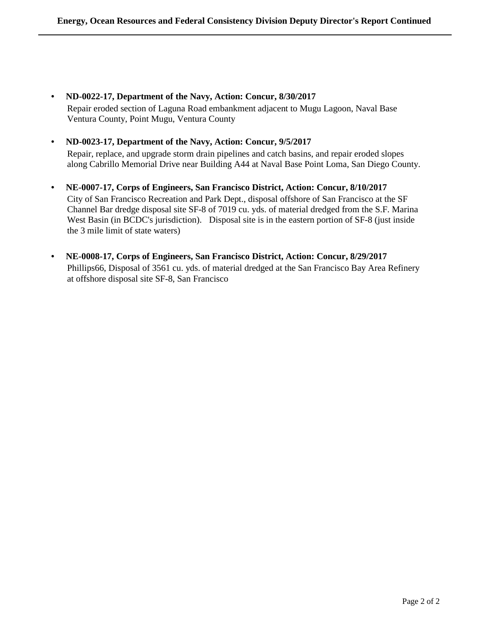**• ND-0022-17, Department of the Navy, Action: Concur, 8/30/2017**

Repair eroded section of Laguna Road embankment adjacent to Mugu Lagoon, Naval Base Ventura County, Point Mugu, Ventura County

**• ND-0023-17, Department of the Navy, Action: Concur, 9/5/2017**

Repair, replace, and upgrade storm drain pipelines and catch basins, and repair eroded slopes along Cabrillo Memorial Drive near Building A44 at Naval Base Point Loma, San Diego County.

- **NE-0007-17, Corps of Engineers, San Francisco District, Action: Concur, 8/10/2017** City of San Francisco Recreation and Park Dept., disposal offshore of San Francisco at the SF Channel Bar dredge disposal site SF-8 of 7019 cu. yds. of material dredged from the S.F. Marina West Basin (in BCDC's jurisdiction). Disposal site is in the eastern portion of SF-8 (just inside the 3 mile limit of state waters)
- **NE-0008-17, Corps of Engineers, San Francisco District, Action: Concur, 8/29/2017** Phillips66, Disposal of 3561 cu. yds. of material dredged at the San Francisco Bay Area Refinery at offshore disposal site SF-8, San Francisco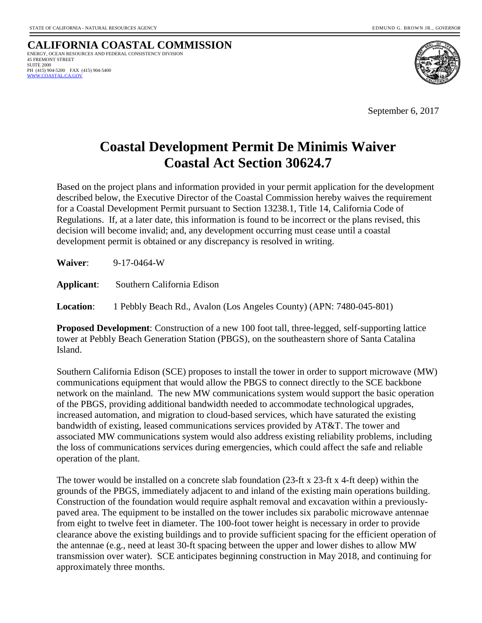**CALIFORNIA COASTAL COMMISSION** ENERGY, OCEAN RESOURCES AND FEDERAL CONSISTENCY DIVISION 45 FREMONT STREET SUITE 2000 PH (415) 904-5200 FAX (415) 904-5400  [WWW.COASTAL.CA.GOV](http://www.coastal.ca.gov/)



September 6, 2017

## **Coastal Development Permit De Minimis Waiver Coastal Act Section 30624.7**

Based on the project plans and information provided in your permit application for the development described below, the Executive Director of the Coastal Commission hereby waives the requirement for a Coastal Development Permit pursuant to Section 13238.1, Title 14, California Code of Regulations. If, at a later date, this information is found to be incorrect or the plans revised, this decision will become invalid; and, any development occurring must cease until a coastal development permit is obtained or any discrepancy is resolved in writing.

**Waiver**: 9-17-0464-W

**Applicant**: Southern California Edison

**Location**: 1 Pebbly Beach Rd., Avalon (Los Angeles County) (APN: 7480-045-801)

**Proposed Development**: Construction of a new 100 foot tall, three-legged, self-supporting lattice tower at Pebbly Beach Generation Station (PBGS), on the southeastern shore of Santa Catalina Island.

Southern California Edison (SCE) proposes to install the tower in order to support microwave (MW) communications equipment that would allow the PBGS to connect directly to the SCE backbone network on the mainland. The new MW communications system would support the basic operation of the PBGS, providing additional bandwidth needed to accommodate technological upgrades, increased automation, and migration to cloud-based services, which have saturated the existing bandwidth of existing, leased communications services provided by AT&T. The tower and associated MW communications system would also address existing reliability problems, including the loss of communications services during emergencies, which could affect the safe and reliable operation of the plant.

The tower would be installed on a concrete slab foundation (23-ft x 23-ft x 4-ft deep) within the grounds of the PBGS, immediately adjacent to and inland of the existing main operations building. Construction of the foundation would require asphalt removal and excavation within a previouslypaved area. The equipment to be installed on the tower includes six parabolic microwave antennae from eight to twelve feet in diameter. The 100-foot tower height is necessary in order to provide clearance above the existing buildings and to provide sufficient spacing for the efficient operation of the antennae (e.g., need at least 30-ft spacing between the upper and lower dishes to allow MW transmission over water). SCE anticipates beginning construction in May 2018, and continuing for approximately three months.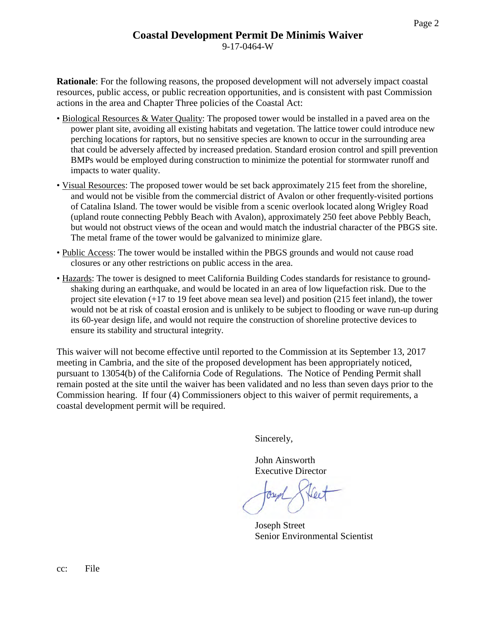**Rationale**: For the following reasons, the proposed development will not adversely impact coastal resources, public access, or public recreation opportunities, and is consistent with past Commission actions in the area and Chapter Three policies of the Coastal Act:

- Biological Resources & Water Quality: The proposed tower would be installed in a paved area on the power plant site, avoiding all existing habitats and vegetation. The lattice tower could introduce new perching locations for raptors, but no sensitive species are known to occur in the surrounding area that could be adversely affected by increased predation. Standard erosion control and spill prevention BMPs would be employed during construction to minimize the potential for stormwater runoff and impacts to water quality.
- Visual Resources: The proposed tower would be set back approximately 215 feet from the shoreline, and would not be visible from the commercial district of Avalon or other frequently-visited portions of Catalina Island. The tower would be visible from a scenic overlook located along Wrigley Road (upland route connecting Pebbly Beach with Avalon), approximately 250 feet above Pebbly Beach, but would not obstruct views of the ocean and would match the industrial character of the PBGS site. The metal frame of the tower would be galvanized to minimize glare.
- Public Access: The tower would be installed within the PBGS grounds and would not cause road closures or any other restrictions on public access in the area.
- Hazards: The tower is designed to meet California Building Codes standards for resistance to groundshaking during an earthquake, and would be located in an area of low liquefaction risk. Due to the project site elevation (+17 to 19 feet above mean sea level) and position (215 feet inland), the tower would not be at risk of coastal erosion and is unlikely to be subject to flooding or wave run-up during its 60-year design life, and would not require the construction of shoreline protective devices to ensure its stability and structural integrity.

This waiver will not become effective until reported to the Commission at its September 13, 2017 meeting in Cambria, and the site of the proposed development has been appropriately noticed, pursuant to 13054(b) of the California Code of Regulations. The Notice of Pending Permit shall remain posted at the site until the waiver has been validated and no less than seven days prior to the Commission hearing. If four (4) Commissioners object to this waiver of permit requirements, a coastal development permit will be required.

Sincerely,

John Ainsworth Executive Director

Oseph,

Joseph Street Senior Environmental Scientist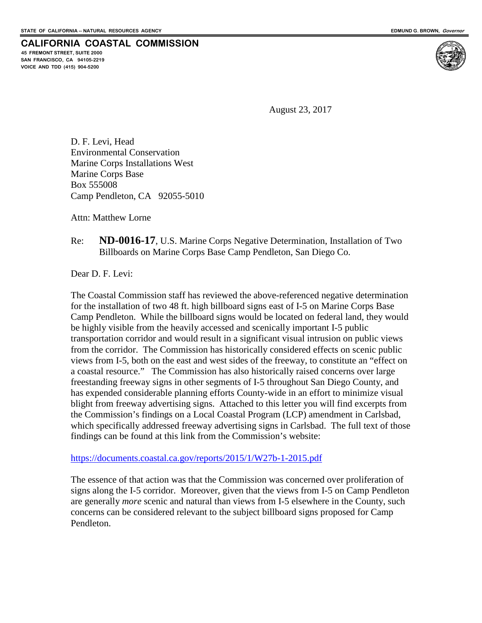**45 FREMONT STREET, SUITE 2000 SAN FRANCISCO, CA 94105-2219 VOICE AND TDD (415) 904-5200**

**CALIFORNIA COASTAL COMMISSION**

August 23, 2017

D. F. Levi, Head Environmental Conservation Marine Corps Installations West Marine Corps Base Box 555008 Camp Pendleton, CA 92055-5010

Attn: Matthew Lorne

#### Re: **ND-0016-17**, U.S. Marine Corps Negative Determination, Installation of Two Billboards on Marine Corps Base Camp Pendleton, San Diego Co.

Dear D. F. Levi:

The Coastal Commission staff has reviewed the above-referenced negative determination for the installation of two 48 ft. high billboard signs east of I-5 on Marine Corps Base Camp Pendleton. While the billboard signs would be located on federal land, they would be highly visible from the heavily accessed and scenically important I-5 public transportation corridor and would result in a significant visual intrusion on public views from the corridor. The Commission has historically considered effects on scenic public views from I-5, both on the east and west sides of the freeway, to constitute an "effect on a coastal resource." The Commission has also historically raised concerns over large freestanding freeway signs in other segments of I-5 throughout San Diego County, and has expended considerable planning efforts County-wide in an effort to minimize visual blight from freeway advertising signs. Attached to this letter you will find excerpts from the Commission's findings on a Local Coastal Program (LCP) amendment in Carlsbad, which specifically addressed freeway advertising signs in Carlsbad. The full text of those findings can be found at this link from the Commission's website:

<https://documents.coastal.ca.gov/reports/2015/1/W27b-1-2015.pdf>

The essence of that action was that the Commission was concerned over proliferation of signs along the I-5 corridor. Moreover, given that the views from I-5 on Camp Pendleton are generally *more* scenic and natural than views from I-5 elsewhere in the County, such concerns can be considered relevant to the subject billboard signs proposed for Camp Pendleton.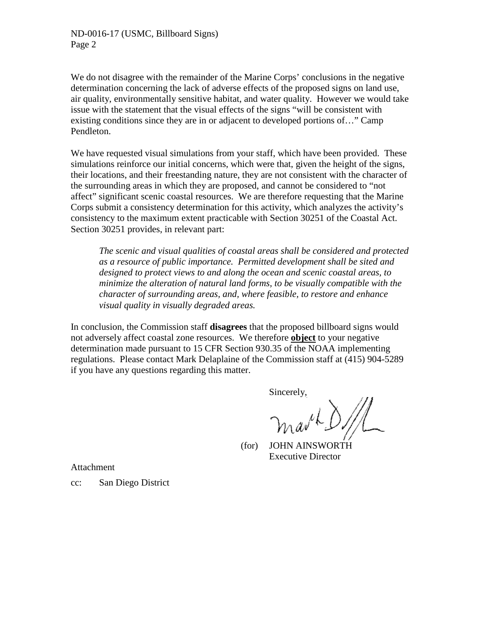ND-0016-17 (USMC, Billboard Signs) Page 2

We do not disagree with the remainder of the Marine Corps' conclusions in the negative determination concerning the lack of adverse effects of the proposed signs on land use, air quality, environmentally sensitive habitat, and water quality. However we would take issue with the statement that the visual effects of the signs "will be consistent with existing conditions since they are in or adjacent to developed portions of…" Camp Pendleton.

We have requested visual simulations from your staff, which have been provided. These simulations reinforce our initial concerns, which were that, given the height of the signs, their locations, and their freestanding nature, they are not consistent with the character of the surrounding areas in which they are proposed, and cannot be considered to "not affect" significant scenic coastal resources. We are therefore requesting that the Marine Corps submit a consistency determination for this activity, which analyzes the activity's consistency to the maximum extent practicable with Section 30251 of the Coastal Act. Section 30251 provides, in relevant part:

*The scenic and visual qualities of coastal areas shall be considered and protected as a resource of public importance. Permitted development shall be sited and designed to protect views to and along the ocean and scenic coastal areas, to minimize the alteration of natural land forms, to be visually compatible with the character of surrounding areas, and, where feasible, to restore and enhance visual quality in visually degraded areas.*

In conclusion, the Commission staff **disagrees** that the proposed billboard signs would not adversely affect coastal zone resources. We therefore **object** to your negative determination made pursuant to 15 CFR Section 930.35 of the NOAA implementing regulations. Please contact Mark Delaplaine of the Commission staff at (415) 904-5289 if you have any questions regarding this matter.

Sincerely,

nav<sup>ik</sup>

 (for) JOHN AINSWORTH Executive Director

Attachment

cc: San Diego District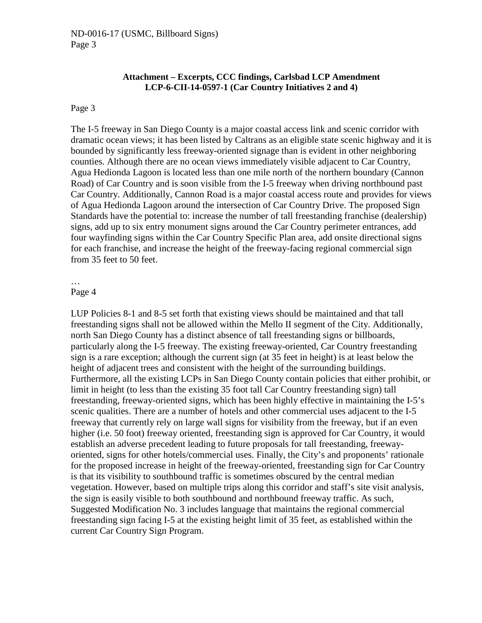#### **Attachment – Excerpts, CCC findings, Carlsbad LCP Amendment LCP-6-CII-14-0597-1 (Car Country Initiatives 2 and 4)**

#### Page 3

The I-5 freeway in San Diego County is a major coastal access link and scenic corridor with dramatic ocean views; it has been listed by Caltrans as an eligible state scenic highway and it is bounded by significantly less freeway-oriented signage than is evident in other neighboring counties. Although there are no ocean views immediately visible adjacent to Car Country, Agua Hedionda Lagoon is located less than one mile north of the northern boundary (Cannon Road) of Car Country and is soon visible from the I-5 freeway when driving northbound past Car Country. Additionally, Cannon Road is a major coastal access route and provides for views of Agua Hedionda Lagoon around the intersection of Car Country Drive. The proposed Sign Standards have the potential to: increase the number of tall freestanding franchise (dealership) signs, add up to six entry monument signs around the Car Country perimeter entrances, add four wayfinding signs within the Car Country Specific Plan area, add onsite directional signs for each franchise, and increase the height of the freeway-facing regional commercial sign from 35 feet to 50 feet.

#### … Page 4

LUP Policies 8-1 and 8-5 set forth that existing views should be maintained and that tall freestanding signs shall not be allowed within the Mello II segment of the City. Additionally, north San Diego County has a distinct absence of tall freestanding signs or billboards, particularly along the I-5 freeway. The existing freeway-oriented, Car Country freestanding sign is a rare exception; although the current sign (at 35 feet in height) is at least below the height of adjacent trees and consistent with the height of the surrounding buildings. Furthermore, all the existing LCPs in San Diego County contain policies that either prohibit, or limit in height (to less than the existing 35 foot tall Car Country freestanding sign) tall freestanding, freeway-oriented signs, which has been highly effective in maintaining the I-5's scenic qualities. There are a number of hotels and other commercial uses adjacent to the I-5 freeway that currently rely on large wall signs for visibility from the freeway, but if an even higher (i.e. 50 foot) freeway oriented, freestanding sign is approved for Car Country, it would establish an adverse precedent leading to future proposals for tall freestanding, freewayoriented, signs for other hotels/commercial uses. Finally, the City's and proponents' rationale for the proposed increase in height of the freeway-oriented, freestanding sign for Car Country is that its visibility to southbound traffic is sometimes obscured by the central median vegetation. However, based on multiple trips along this corridor and staff's site visit analysis, the sign is easily visible to both southbound and northbound freeway traffic. As such, Suggested Modification No. 3 includes language that maintains the regional commercial freestanding sign facing I-5 at the existing height limit of 35 feet, as established within the current Car Country Sign Program.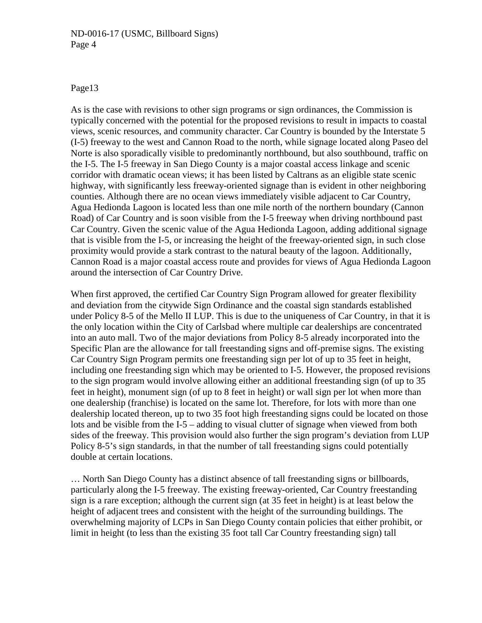#### ND-0016-17 (USMC, Billboard Signs) Page 4

#### Page13

As is the case with revisions to other sign programs or sign ordinances, the Commission is typically concerned with the potential for the proposed revisions to result in impacts to coastal views, scenic resources, and community character. Car Country is bounded by the Interstate 5 (I-5) freeway to the west and Cannon Road to the north, while signage located along Paseo del Norte is also sporadically visible to predominantly northbound, but also southbound, traffic on the I-5. The I-5 freeway in San Diego County is a major coastal access linkage and scenic corridor with dramatic ocean views; it has been listed by Caltrans as an eligible state scenic highway, with significantly less freeway-oriented signage than is evident in other neighboring counties. Although there are no ocean views immediately visible adjacent to Car Country, Agua Hedionda Lagoon is located less than one mile north of the northern boundary (Cannon Road) of Car Country and is soon visible from the I-5 freeway when driving northbound past Car Country. Given the scenic value of the Agua Hedionda Lagoon, adding additional signage that is visible from the I-5, or increasing the height of the freeway-oriented sign, in such close proximity would provide a stark contrast to the natural beauty of the lagoon. Additionally, Cannon Road is a major coastal access route and provides for views of Agua Hedionda Lagoon around the intersection of Car Country Drive.

When first approved, the certified Car Country Sign Program allowed for greater flexibility and deviation from the citywide Sign Ordinance and the coastal sign standards established under Policy 8-5 of the Mello II LUP. This is due to the uniqueness of Car Country, in that it is the only location within the City of Carlsbad where multiple car dealerships are concentrated into an auto mall. Two of the major deviations from Policy 8-5 already incorporated into the Specific Plan are the allowance for tall freestanding signs and off-premise signs. The existing Car Country Sign Program permits one freestanding sign per lot of up to 35 feet in height, including one freestanding sign which may be oriented to I-5. However, the proposed revisions to the sign program would involve allowing either an additional freestanding sign (of up to 35 feet in height), monument sign (of up to 8 feet in height) or wall sign per lot when more than one dealership (franchise) is located on the same lot. Therefore, for lots with more than one dealership located thereon, up to two 35 foot high freestanding signs could be located on those lots and be visible from the I-5 – adding to visual clutter of signage when viewed from both sides of the freeway. This provision would also further the sign program's deviation from LUP Policy 8-5's sign standards, in that the number of tall freestanding signs could potentially double at certain locations.

… North San Diego County has a distinct absence of tall freestanding signs or billboards, particularly along the I-5 freeway. The existing freeway-oriented, Car Country freestanding sign is a rare exception; although the current sign (at 35 feet in height) is at least below the height of adjacent trees and consistent with the height of the surrounding buildings. The overwhelming majority of LCPs in San Diego County contain policies that either prohibit, or limit in height (to less than the existing 35 foot tall Car Country freestanding sign) tall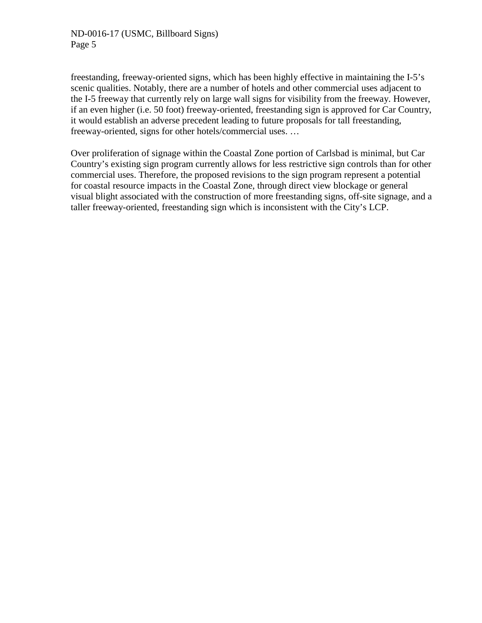freestanding, freeway-oriented signs, which has been highly effective in maintaining the I-5's scenic qualities. Notably, there are a number of hotels and other commercial uses adjacent to the I-5 freeway that currently rely on large wall signs for visibility from the freeway. However, if an even higher (i.e. 50 foot) freeway-oriented, freestanding sign is approved for Car Country, it would establish an adverse precedent leading to future proposals for tall freestanding, freeway-oriented, signs for other hotels/commercial uses. …

Over proliferation of signage within the Coastal Zone portion of Carlsbad is minimal, but Car Country's existing sign program currently allows for less restrictive sign controls than for other commercial uses. Therefore, the proposed revisions to the sign program represent a potential for coastal resource impacts in the Coastal Zone, through direct view blockage or general visual blight associated with the construction of more freestanding signs, off-site signage, and a taller freeway-oriented, freestanding sign which is inconsistent with the City's LCP.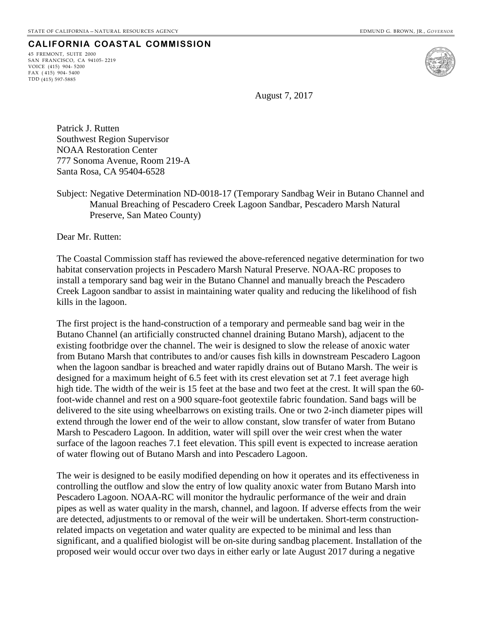45 FREMONT, SUITE 2000 SAN FRANCISCO, CA 94105- 2219 VOICE (415) 904- 5200 FAX ( 415) 904- 5400 TDD (415) 597-5885



August 7, 2017

Patrick J. Rutten Southwest Region Supervisor NOAA Restoration Center 777 Sonoma Avenue, Room 219-A Santa Rosa, CA 95404-6528

Subject: Negative Determination ND-0018-17 (Temporary Sandbag Weir in Butano Channel and Manual Breaching of Pescadero Creek Lagoon Sandbar, Pescadero Marsh Natural Preserve, San Mateo County)

Dear Mr. Rutten:

The Coastal Commission staff has reviewed the above-referenced negative determination for two habitat conservation projects in Pescadero Marsh Natural Preserve. NOAA-RC proposes to install a temporary sand bag weir in the Butano Channel and manually breach the Pescadero Creek Lagoon sandbar to assist in maintaining water quality and reducing the likelihood of fish kills in the lagoon.

The first project is the hand-construction of a temporary and permeable sand bag weir in the Butano Channel (an artificially constructed channel draining Butano Marsh), adjacent to the existing footbridge over the channel. The weir is designed to slow the release of anoxic water from Butano Marsh that contributes to and/or causes fish kills in downstream Pescadero Lagoon when the lagoon sandbar is breached and water rapidly drains out of Butano Marsh. The weir is designed for a maximum height of 6.5 feet with its crest elevation set at 7.1 feet average high high tide. The width of the weir is 15 feet at the base and two feet at the crest. It will span the 60 foot-wide channel and rest on a 900 square-foot geotextile fabric foundation. Sand bags will be delivered to the site using wheelbarrows on existing trails. One or two 2-inch diameter pipes will extend through the lower end of the weir to allow constant, slow transfer of water from Butano Marsh to Pescadero Lagoon. In addition, water will spill over the weir crest when the water surface of the lagoon reaches 7.1 feet elevation. This spill event is expected to increase aeration of water flowing out of Butano Marsh and into Pescadero Lagoon.

The weir is designed to be easily modified depending on how it operates and its effectiveness in controlling the outflow and slow the entry of low quality anoxic water from Butano Marsh into Pescadero Lagoon. NOAA-RC will monitor the hydraulic performance of the weir and drain pipes as well as water quality in the marsh, channel, and lagoon. If adverse effects from the weir are detected, adjustments to or removal of the weir will be undertaken. Short-term constructionrelated impacts on vegetation and water quality are expected to be minimal and less than significant, and a qualified biologist will be on-site during sandbag placement. Installation of the proposed weir would occur over two days in either early or late August 2017 during a negative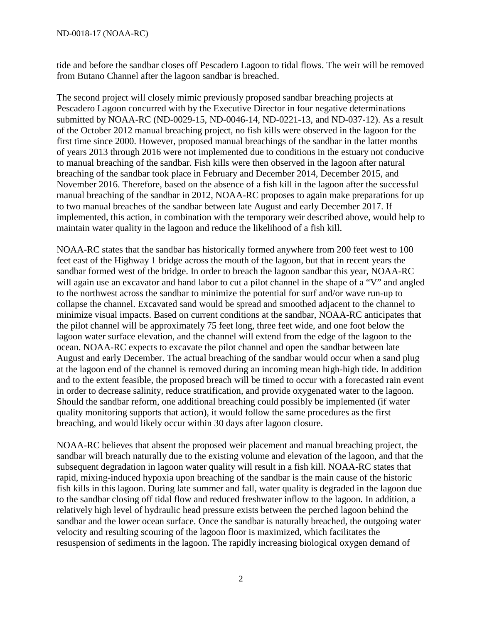tide and before the sandbar closes off Pescadero Lagoon to tidal flows. The weir will be removed from Butano Channel after the lagoon sandbar is breached.

The second project will closely mimic previously proposed sandbar breaching projects at Pescadero Lagoon concurred with by the Executive Director in four negative determinations submitted by NOAA-RC (ND-0029-15, ND-0046-14, ND-0221-13, and ND-037-12). As a result of the October 2012 manual breaching project, no fish kills were observed in the lagoon for the first time since 2000. However, proposed manual breachings of the sandbar in the latter months of years 2013 through 2016 were not implemented due to conditions in the estuary not conducive to manual breaching of the sandbar. Fish kills were then observed in the lagoon after natural breaching of the sandbar took place in February and December 2014, December 2015, and November 2016. Therefore, based on the absence of a fish kill in the lagoon after the successful manual breaching of the sandbar in 2012, NOAA-RC proposes to again make preparations for up to two manual breaches of the sandbar between late August and early December 2017. If implemented, this action, in combination with the temporary weir described above, would help to maintain water quality in the lagoon and reduce the likelihood of a fish kill.

NOAA-RC states that the sandbar has historically formed anywhere from 200 feet west to 100 feet east of the Highway 1 bridge across the mouth of the lagoon, but that in recent years the sandbar formed west of the bridge. In order to breach the lagoon sandbar this year, NOAA-RC will again use an excavator and hand labor to cut a pilot channel in the shape of a "V" and angled to the northwest across the sandbar to minimize the potential for surf and/or wave run-up to collapse the channel. Excavated sand would be spread and smoothed adjacent to the channel to minimize visual impacts. Based on current conditions at the sandbar, NOAA-RC anticipates that the pilot channel will be approximately 75 feet long, three feet wide, and one foot below the lagoon water surface elevation, and the channel will extend from the edge of the lagoon to the ocean. NOAA-RC expects to excavate the pilot channel and open the sandbar between late August and early December. The actual breaching of the sandbar would occur when a sand plug at the lagoon end of the channel is removed during an incoming mean high-high tide. In addition and to the extent feasible, the proposed breach will be timed to occur with a forecasted rain event in order to decrease salinity, reduce stratification, and provide oxygenated water to the lagoon. Should the sandbar reform, one additional breaching could possibly be implemented (if water quality monitoring supports that action), it would follow the same procedures as the first breaching, and would likely occur within 30 days after lagoon closure.

NOAA-RC believes that absent the proposed weir placement and manual breaching project, the sandbar will breach naturally due to the existing volume and elevation of the lagoon, and that the subsequent degradation in lagoon water quality will result in a fish kill. NOAA-RC states that rapid, mixing-induced hypoxia upon breaching of the sandbar is the main cause of the historic fish kills in this lagoon. During late summer and fall, water quality is degraded in the lagoon due to the sandbar closing off tidal flow and reduced freshwater inflow to the lagoon. In addition, a relatively high level of hydraulic head pressure exists between the perched lagoon behind the sandbar and the lower ocean surface. Once the sandbar is naturally breached, the outgoing water velocity and resulting scouring of the lagoon floor is maximized, which facilitates the resuspension of sediments in the lagoon. The rapidly increasing biological oxygen demand of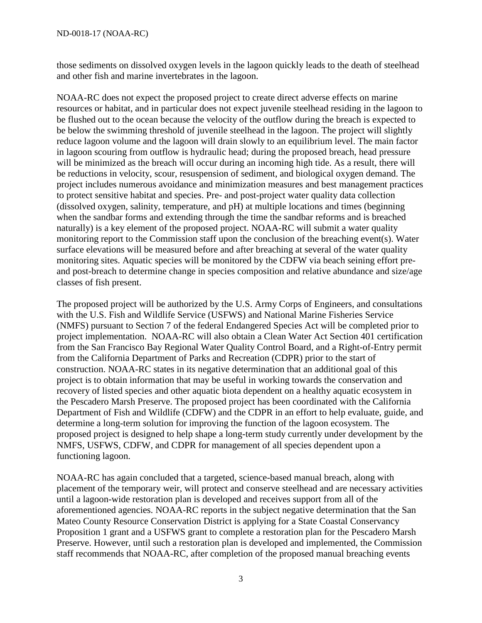those sediments on dissolved oxygen levels in the lagoon quickly leads to the death of steelhead and other fish and marine invertebrates in the lagoon.

NOAA-RC does not expect the proposed project to create direct adverse effects on marine resources or habitat, and in particular does not expect juvenile steelhead residing in the lagoon to be flushed out to the ocean because the velocity of the outflow during the breach is expected to be below the swimming threshold of juvenile steelhead in the lagoon. The project will slightly reduce lagoon volume and the lagoon will drain slowly to an equilibrium level. The main factor in lagoon scouring from outflow is hydraulic head; during the proposed breach, head pressure will be minimized as the breach will occur during an incoming high tide. As a result, there will be reductions in velocity, scour, resuspension of sediment, and biological oxygen demand. The project includes numerous avoidance and minimization measures and best management practices to protect sensitive habitat and species. Pre- and post-project water quality data collection (dissolved oxygen, salinity, temperature, and pH) at multiple locations and times (beginning when the sandbar forms and extending through the time the sandbar reforms and is breached naturally) is a key element of the proposed project. NOAA-RC will submit a water quality monitoring report to the Commission staff upon the conclusion of the breaching event(s). Water surface elevations will be measured before and after breaching at several of the water quality monitoring sites. Aquatic species will be monitored by the CDFW via beach seining effort preand post-breach to determine change in species composition and relative abundance and size/age classes of fish present.

The proposed project will be authorized by the U.S. Army Corps of Engineers, and consultations with the U.S. Fish and Wildlife Service (USFWS) and National Marine Fisheries Service (NMFS) pursuant to Section 7 of the federal Endangered Species Act will be completed prior to project implementation. NOAA-RC will also obtain a Clean Water Act Section 401 certification from the San Francisco Bay Regional Water Quality Control Board, and a Right-of-Entry permit from the California Department of Parks and Recreation (CDPR) prior to the start of construction. NOAA-RC states in its negative determination that an additional goal of this project is to obtain information that may be useful in working towards the conservation and recovery of listed species and other aquatic biota dependent on a healthy aquatic ecosystem in the Pescadero Marsh Preserve. The proposed project has been coordinated with the California Department of Fish and Wildlife (CDFW) and the CDPR in an effort to help evaluate, guide, and determine a long-term solution for improving the function of the lagoon ecosystem. The proposed project is designed to help shape a long-term study currently under development by the NMFS, USFWS, CDFW, and CDPR for management of all species dependent upon a functioning lagoon.

NOAA-RC has again concluded that a targeted, science-based manual breach, along with placement of the temporary weir, will protect and conserve steelhead and are necessary activities until a lagoon-wide restoration plan is developed and receives support from all of the aforementioned agencies. NOAA-RC reports in the subject negative determination that the San Mateo County Resource Conservation District is applying for a State Coastal Conservancy Proposition 1 grant and a USFWS grant to complete a restoration plan for the Pescadero Marsh Preserve. However, until such a restoration plan is developed and implemented, the Commission staff recommends that NOAA-RC, after completion of the proposed manual breaching events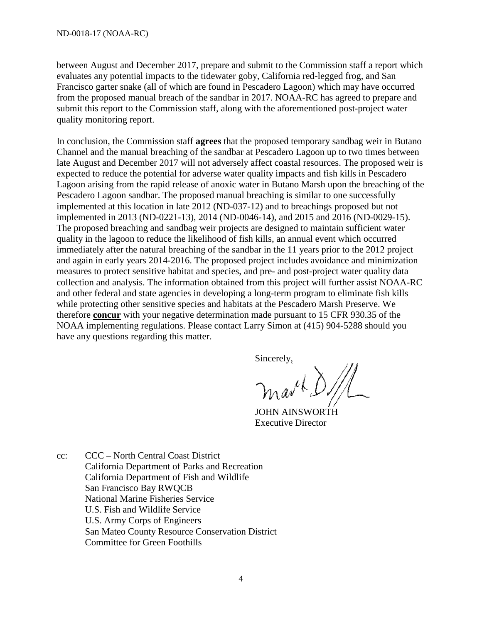between August and December 2017, prepare and submit to the Commission staff a report which evaluates any potential impacts to the tidewater goby, California red-legged frog, and San Francisco garter snake (all of which are found in Pescadero Lagoon) which may have occurred from the proposed manual breach of the sandbar in 2017. NOAA-RC has agreed to prepare and submit this report to the Commission staff, along with the aforementioned post-project water quality monitoring report.

In conclusion, the Commission staff **agrees** that the proposed temporary sandbag weir in Butano Channel and the manual breaching of the sandbar at Pescadero Lagoon up to two times between late August and December 2017 will not adversely affect coastal resources. The proposed weir is expected to reduce the potential for adverse water quality impacts and fish kills in Pescadero Lagoon arising from the rapid release of anoxic water in Butano Marsh upon the breaching of the Pescadero Lagoon sandbar. The proposed manual breaching is similar to one successfully implemented at this location in late 2012 (ND-037-12) and to breachings proposed but not implemented in 2013 (ND-0221-13), 2014 (ND-0046-14), and 2015 and 2016 (ND-0029-15). The proposed breaching and sandbag weir projects are designed to maintain sufficient water quality in the lagoon to reduce the likelihood of fish kills, an annual event which occurred immediately after the natural breaching of the sandbar in the 11 years prior to the 2012 project and again in early years 2014-2016. The proposed project includes avoidance and minimization measures to protect sensitive habitat and species, and pre- and post-project water quality data collection and analysis. The information obtained from this project will further assist NOAA-RC and other federal and state agencies in developing a long-term program to eliminate fish kills while protecting other sensitive species and habitats at the Pescadero Marsh Preserve. We therefore **concur** with your negative determination made pursuant to 15 CFR 930.35 of the NOAA implementing regulations. Please contact Larry Simon at (415) 904-5288 should you have any questions regarding this matter.

Sincerely,

marke

 JOHN AINSWORTH Executive Director

cc: CCC – North Central Coast District California Department of Parks and Recreation California Department of Fish and Wildlife San Francisco Bay RWQCB National Marine Fisheries Service U.S. Fish and Wildlife Service U.S. Army Corps of Engineers San Mateo County Resource Conservation District Committee for Green Foothills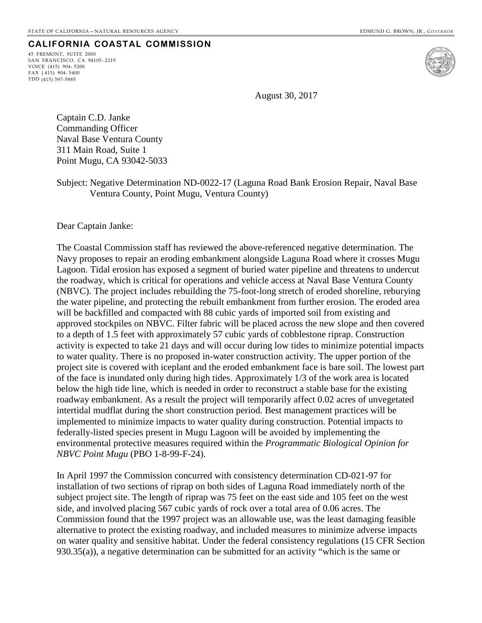45 FREMONT, SUITE 2000 SAN FRANCISCO, CA 94105- 2219 VOICE (415) 904- 5200 FAX ( 415) 904- 5400 TDD (415) 597-5885



August 30, 2017

Captain C.D. Janke Commanding Officer Naval Base Ventura County 311 Main Road, Suite 1 Point Mugu, CA 93042-5033

Subject: Negative Determination ND-0022-17 (Laguna Road Bank Erosion Repair, Naval Base Ventura County, Point Mugu, Ventura County)

Dear Captain Janke:

The Coastal Commission staff has reviewed the above-referenced negative determination. The Navy proposes to repair an eroding embankment alongside Laguna Road where it crosses Mugu Lagoon. Tidal erosion has exposed a segment of buried water pipeline and threatens to undercut the roadway, which is critical for operations and vehicle access at Naval Base Ventura County (NBVC). The project includes rebuilding the 75-foot-long stretch of eroded shoreline, reburying the water pipeline, and protecting the rebuilt embankment from further erosion. The eroded area will be backfilled and compacted with 88 cubic yards of imported soil from existing and approved stockpiles on NBVC. Filter fabric will be placed across the new slope and then covered to a depth of 1.5 feet with approximately 57 cubic yards of cobblestone riprap. Construction activity is expected to take 21 days and will occur during low tides to minimize potential impacts to water quality. There is no proposed in-water construction activity. The upper portion of the project site is covered with iceplant and the eroded embankment face is bare soil. The lowest part of the face is inundated only during high tides. Approximately 1/3 of the work area is located below the high tide line, which is needed in order to reconstruct a stable base for the existing roadway embankment. As a result the project will temporarily affect 0.02 acres of unvegetated intertidal mudflat during the short construction period. Best management practices will be implemented to minimize impacts to water quality during construction. Potential impacts to federally-listed species present in Mugu Lagoon will be avoided by implementing the environmental protective measures required within the *Programmatic Biological Opinion for NBVC Point Mugu* (PBO 1-8-99-F-24).

In April 1997 the Commission concurred with consistency determination CD-021-97 for installation of two sections of riprap on both sides of Laguna Road immediately north of the subject project site. The length of riprap was 75 feet on the east side and 105 feet on the west side, and involved placing 567 cubic yards of rock over a total area of 0.06 acres. The Commission found that the 1997 project was an allowable use, was the least damaging feasible alternative to protect the existing roadway, and included measures to minimize adverse impacts on water quality and sensitive habitat. Under the federal consistency regulations (15 CFR Section 930.35(a)), a negative determination can be submitted for an activity "which is the same or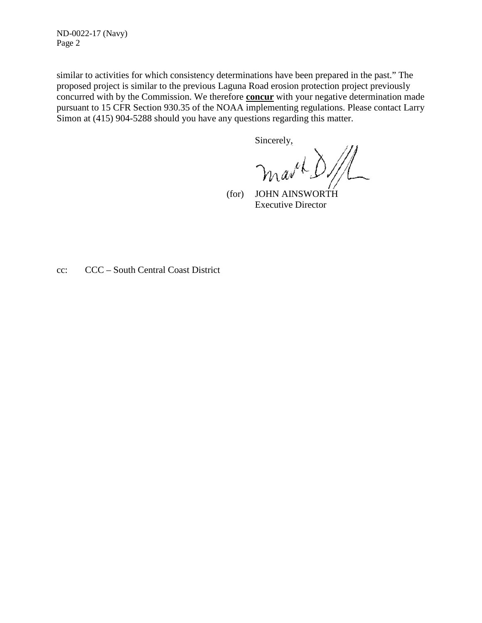ND-0022-17 (Navy) Page 2

similar to activities for which consistency determinations have been prepared in the past." The proposed project is similar to the previous Laguna Road erosion protection project previously concurred with by the Commission. We therefore **concur** with your negative determination made pursuant to 15 CFR Section 930.35 of the NOAA implementing regulations. Please contact Larry Simon at (415) 904-5288 should you have any questions regarding this matter.

Sincerely,

march

 (for) JOHN AINSWORTH Executive Director

cc: CCC – South Central Coast District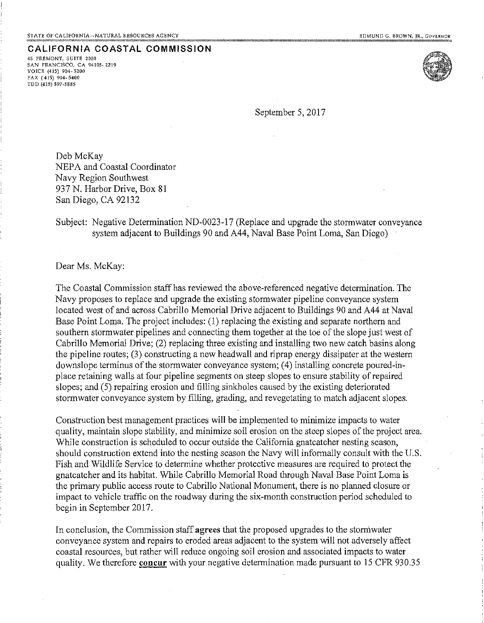45 FREMONT, SUITE 2000 **SAN FRANCISCO, CA 94105-2219** VOICE (415) 904-5200 FAX (415) 904-5400 TDD (415) 597-5885



September 5, 2017

Deb McKay NEPA and Coastal Coordinator Navy Region Southwest 937 N. Harbor Drive, Box 81 San Diego, CA 92132

Subject: Negative Determination ND-0023-17 (Replace and upgrade the stormwater conveyance system adjacent to Buildings 90 and A44, Naval Base Point Loma, San Diego)

Dear Ms. McKay:

The Coastal Commission staff has reviewed the above-referenced negative determination. The Navy proposes to replace and upgrade the existing stormwater pipeline conveyance system located west of and across Cabrillo Memorial Drive adjacent to Buildings 90 and A44 at Naval Base Point Loma. The project includes: (1) replacing the existing and separate northern and southern stormwater pipelines and connecting them together at the toe of the slope just west of Cabrillo Memorial Drive; (2) replacing three existing and installing two new catch basing along the pipeline routes; (3) constructing a new headwall and riprap energy dissipater at the western downslope terminus of the stormwater conveyance system; (4) installing concrete poured-inplace retaining walls at four pipeline segments on steep slopes to ensure stability of repaired slopes; and (5) repairing erosion and filling sinkholes caused by the existing deteriorated stormwater conveyance system by filling, grading, and revegetating to match adjacent slopes.

Construction best management practices will be implemented to minimize impacts to water quality, maintain slope stability, and minimize soil erosion on the steep slopes of the project area. While construction is scheduled to occur outside the California gnateatcher nesting season, should construction extend into the nesting season the Navy will informally consult with the U.S. Fish and Wildlife Service to determine whether protective measures are required to protect the gnatcatcher and its habitat. While Cabrillo Memorial Road through Naval Base Point Loma is the primary public access route to Cabrillo National Monument, there is no planned closure or impact to vehicle traffic on the roadway during the six-month construction period scheduled to begin in September 2017.

In conclusion, the Commission staff agrees that the proposed upgrades to the stormwater conveyance system and repairs to eroded areas adjacent to the system will not adversely affect coastal resources, but rather will reduce ongoing soil erosion and associated impacts to water quality. We therefore concur with your negative determination made pursuant to 15 CFR 930.35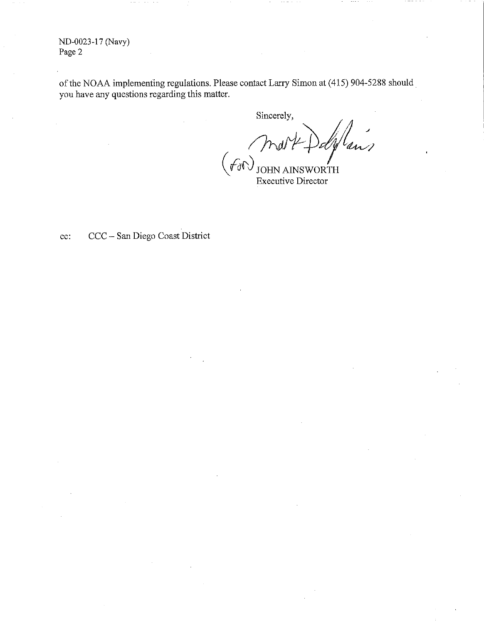ND-0023-17 (Navy) Page 2

of the NOAA implementing regulations. Please contact Larry Simon at (415) 904-5288 should you have any questions regarding this matter.

Sincerely, ans  $(f_{0}\cap)$ ∕<br>RTH **JOHN** 

**Executive Director** 

CCC - San Diego Coast District  $cc$ :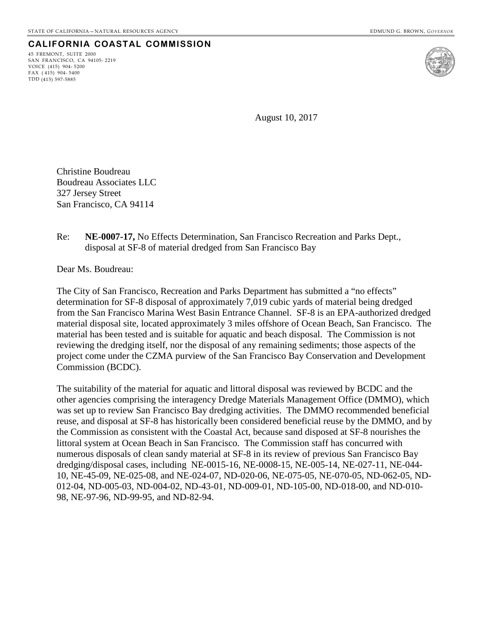45 FREMONT, SUITE 2000 SAN FRANCISCO, CA 94105- 2219 VOICE (415) 904- 5200 FAX ( 415) 904- 5400 TDD (415) 597-5885



August 10, 2017

Christine Boudreau Boudreau Associates LLC 327 Jersey Street San Francisco, CA 94114

Re: **NE-0007-17,** No Effects Determination, San Francisco Recreation and Parks Dept., disposal at SF-8 of material dredged from San Francisco Bay

Dear Ms. Boudreau:

The City of San Francisco, Recreation and Parks Department has submitted a "no effects" determination for SF-8 disposal of approximately 7,019 cubic yards of material being dredged from the San Francisco Marina West Basin Entrance Channel. SF-8 is an EPA-authorized dredged material disposal site, located approximately 3 miles offshore of Ocean Beach, San Francisco. The material has been tested and is suitable for aquatic and beach disposal. The Commission is not reviewing the dredging itself, nor the disposal of any remaining sediments; those aspects of the project come under the CZMA purview of the San Francisco Bay Conservation and Development Commission (BCDC).

The suitability of the material for aquatic and littoral disposal was reviewed by BCDC and the other agencies comprising the interagency Dredge Materials Management Office (DMMO), which was set up to review San Francisco Bay dredging activities. The DMMO recommended beneficial reuse, and disposal at SF-8 has historically been considered beneficial reuse by the DMMO, and by the Commission as consistent with the Coastal Act, because sand disposed at SF-8 nourishes the littoral system at Ocean Beach in San Francisco. The Commission staff has concurred with numerous disposals of clean sandy material at SF-8 in its review of previous San Francisco Bay dredging/disposal cases, including NE-0015-16, NE-0008-15, NE-005-14, NE-027-11, NE-044- 10, NE-45-09, NE-025-08, and NE-024-07, ND-020-06, NE-075-05, NE-070-05, ND-062-05, ND-012-04, ND-005-03, ND-004-02, ND-43-01, ND-009-01, ND-105-00, ND-018-00, and ND-010- 98, NE-97-96, ND-99-95, and ND-82-94.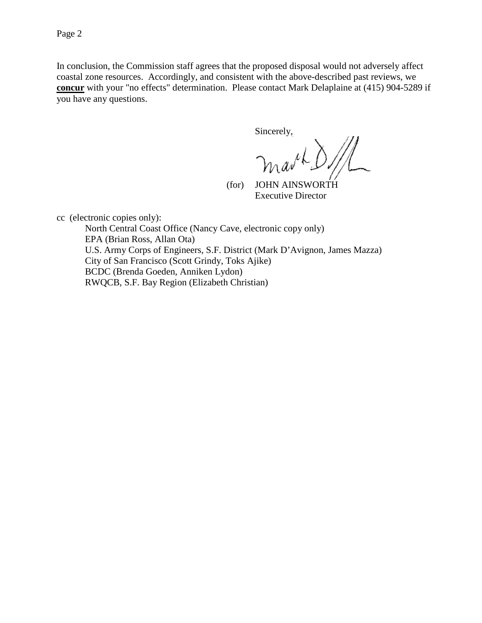In conclusion, the Commission staff agrees that the proposed disposal would not adversely affect coastal zone resources. Accordingly, and consistent with the above-described past reviews, we **concur** with your "no effects" determination. Please contact Mark Delaplaine at (415) 904-5289 if you have any questions.

Sincerely,

بار

 (for) JOHN AINSWORTH Executive Director

cc (electronic copies only):

North Central Coast Office (Nancy Cave, electronic copy only) EPA (Brian Ross, Allan Ota) U.S. Army Corps of Engineers, S.F. District (Mark D'Avignon, James Mazza) City of San Francisco (Scott Grindy, Toks Ajike) BCDC (Brenda Goeden, Anniken Lydon) RWQCB, S.F. Bay Region (Elizabeth Christian)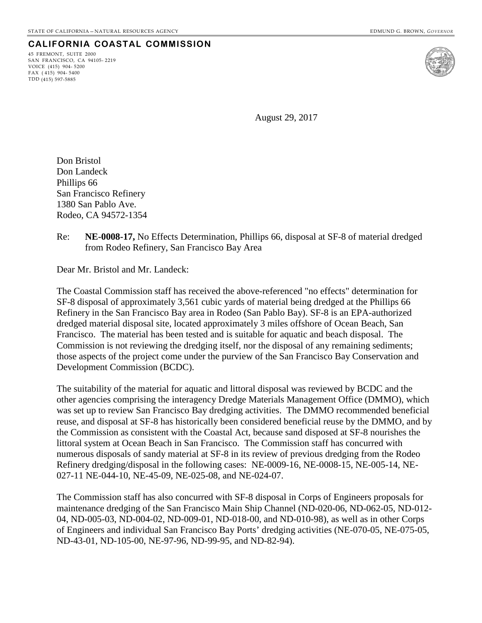45 FREMONT, SUITE 2000 SAN FRANCISCO, CA 94105- 2219 VOICE (415) 904- 5200 FAX ( 415) 904- 5400 TDD (415) 597-5885



August 29, 2017

Don Bristol Don Landeck Phillips 66 San Francisco Refinery 1380 San Pablo Ave. Rodeo, CA 94572-1354

Re: **NE-0008-17,** No Effects Determination, Phillips 66, disposal at SF-8 of material dredged from Rodeo Refinery, San Francisco Bay Area

Dear Mr. Bristol and Mr. Landeck:

The Coastal Commission staff has received the above-referenced "no effects" determination for SF-8 disposal of approximately 3,561 cubic yards of material being dredged at the Phillips 66 Refinery in the San Francisco Bay area in Rodeo (San Pablo Bay). SF-8 is an EPA-authorized dredged material disposal site, located approximately 3 miles offshore of Ocean Beach, San Francisco. The material has been tested and is suitable for aquatic and beach disposal. The Commission is not reviewing the dredging itself, nor the disposal of any remaining sediments; those aspects of the project come under the purview of the San Francisco Bay Conservation and Development Commission (BCDC).

The suitability of the material for aquatic and littoral disposal was reviewed by BCDC and the other agencies comprising the interagency Dredge Materials Management Office (DMMO), which was set up to review San Francisco Bay dredging activities. The DMMO recommended beneficial reuse, and disposal at SF-8 has historically been considered beneficial reuse by the DMMO, and by the Commission as consistent with the Coastal Act, because sand disposed at SF-8 nourishes the littoral system at Ocean Beach in San Francisco. The Commission staff has concurred with numerous disposals of sandy material at SF-8 in its review of previous dredging from the Rodeo Refinery dredging/disposal in the following cases: NE-0009-16, NE-0008-15, NE-005-14, NE-027-11 NE-044-10, NE-45-09, NE-025-08, and NE-024-07.

The Commission staff has also concurred with SF-8 disposal in Corps of Engineers proposals for maintenance dredging of the San Francisco Main Ship Channel (ND-020-06, ND-062-05, ND-012- 04, ND-005-03, ND-004-02, ND-009-01, ND-018-00, and ND-010-98), as well as in other Corps of Engineers and individual San Francisco Bay Ports' dredging activities (NE-070-05, NE-075-05, ND-43-01, ND-105-00, NE-97-96, ND-99-95, and ND-82-94).